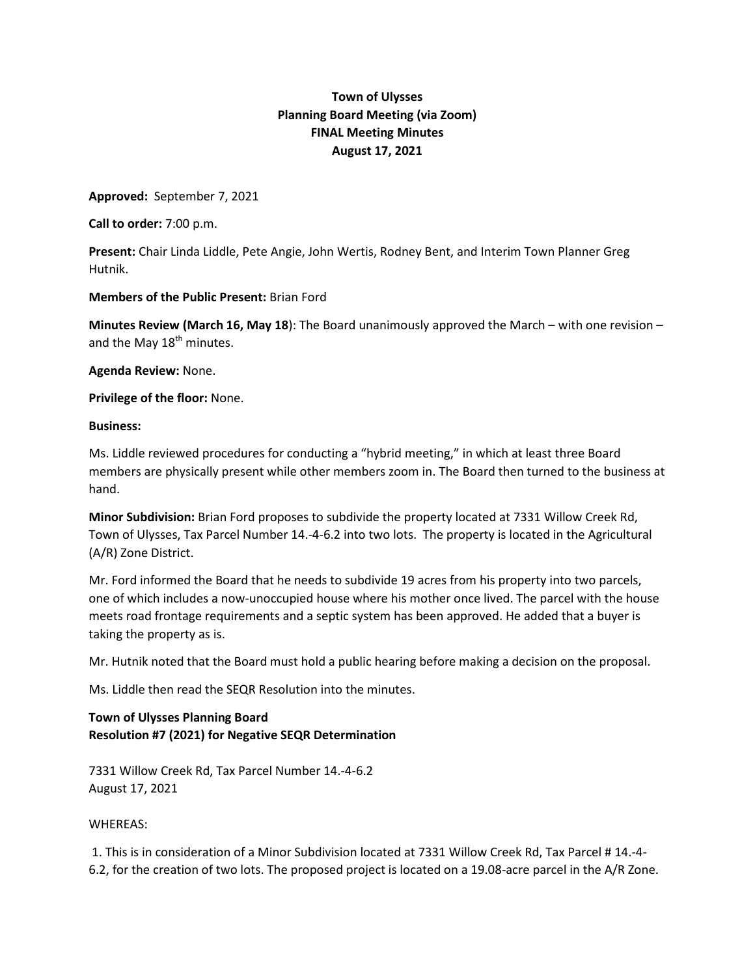## **Town of Ulysses Planning Board Meeting (via Zoom) FINAL Meeting Minutes August 17, 2021**

**Approved:** September 7, 2021

**Call to order:** 7:00 p.m.

**Present:** Chair Linda Liddle, Pete Angie, John Wertis, Rodney Bent, and Interim Town Planner Greg Hutnik.

## **Members of the Public Present:** Brian Ford

**Minutes Review (March 16, May 18**): The Board unanimously approved the March – with one revision – and the May 18<sup>th</sup> minutes.

**Agenda Review:** None.

**Privilege of the floor:** None.

## **Business:**

Ms. Liddle reviewed procedures for conducting a "hybrid meeting," in which at least three Board members are physically present while other members zoom in. The Board then turned to the business at hand.

**Minor Subdivision:** Brian Ford proposes to subdivide the property located at 7331 Willow Creek Rd, Town of Ulysses, Tax Parcel Number 14.-4-6.2 into two lots. The property is located in the Agricultural (A/R) Zone District.

Mr. Ford informed the Board that he needs to subdivide 19 acres from his property into two parcels, one of which includes a now-unoccupied house where his mother once lived. The parcel with the house meets road frontage requirements and a septic system has been approved. He added that a buyer is taking the property as is.

Mr. Hutnik noted that the Board must hold a public hearing before making a decision on the proposal.

Ms. Liddle then read the SEQR Resolution into the minutes.

## **Town of Ulysses Planning Board Resolution #7 (2021) for Negative SEQR Determination**

7331 Willow Creek Rd, Tax Parcel Number 14.-4-6.2 August 17, 2021

WHEREAS:

1. This is in consideration of a Minor Subdivision located at 7331 Willow Creek Rd, Tax Parcel # 14.-4- 6.2, for the creation of two lots. The proposed project is located on a 19.08-acre parcel in the A/R Zone.